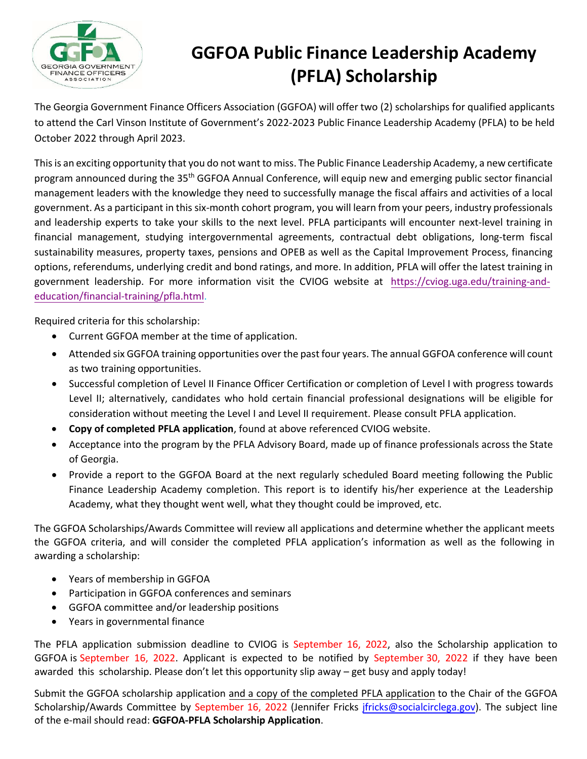

# **GGFOA Public Finance Leadership Academy (PFLA) Scholarship**

The Georgia Government Finance Officers Association (GGFOA) will offer two (2) scholarships for qualified applicants to attend the Carl Vinson Institute of Government's 2022-2023 Public Finance Leadership Academy (PFLA) to be held October 2022 through April 2023.

This is an exciting opportunity that you do not want to miss. The Public Finance Leadership Academy, a new certificate program announced during the 35th GGFOA Annual Conference, will equip new and emerging public sector financial management leaders with the knowledge they need to successfully manage the fiscal affairs and activities of a local government. As a participant in this six-month cohort program, you will learn from your peers, industry professionals and leadership experts to take your skills to the next level. PFLA participants will encounter next-level training in financial management, studying intergovernmental agreements, contractual debt obligations, long-term fiscal sustainability measures, property taxes, pensions and OPEB as well as the Capital Improvement Process, financing options, referendums, underlying credit and bond ratings, and more. In addition, PFLA will offer the latest training in government leadership. For more information visit the CVIOG website at [https://cviog.uga.edu/training-and](https://cviog.uga.edu/training-and-education/financial-training/pfla.html)[education/financial-training/pfla.html.](https://cviog.uga.edu/training-and-education/financial-training/pfla.html) 

Required criteria for this scholarship:

- Current GGFOA member at the time of application.
- Attended six GGFOA training opportunities over the past four years. The annual GGFOA conference will count as two training opportunities.
- Successful completion of Level II Finance Officer Certification or completion of Level I with progress towards Level II; alternatively, candidates who hold certain financial professional designations will be eligible for consideration without meeting the Level I and Level II requirement. Please consult PFLA application.
- **Copy of completed PFLA application**, found at above referenced CVIOG website.
- Acceptance into the program by the PFLA Advisory Board, made up of finance professionals across the State of Georgia.
- Provide a report to the GGFOA Board at the next regularly scheduled Board meeting following the Public Finance Leadership Academy completion. This report is to identify his/her experience at the Leadership Academy, what they thought went well, what they thought could be improved, etc.

The GGFOA Scholarships/Awards Committee will review all applications and determine whether the applicant meets the GGFOA criteria, and will consider the completed PFLA application's information as well as the following in awarding a scholarship:

- Years of membership in GGFOA
- Participation in GGFOA conferences and seminars
- GGFOA committee and/or leadership positions
- Years in governmental finance

The PFLA application submission deadline to CVIOG is September 16, 2022, also the Scholarship application to GGFOA is September 16, 2022. Applicant is expected to be notified by September 30, 2022 if they have been awarded this scholarship. Please don't let this opportunity slip away – get busy and apply today!

Submit the GGFOA scholarship application and a copy of the completed PFLA application to the Chair of the GGFOA Scholarship/Awards Committee by September 16, 2022 (Jennifer Fricks [jfricks@socialcirclega.gov](mailto:jfricks@socialcirclega.gov)). The subject line of the e-mail should read: **GGFOA-PFLA Scholarship Application**.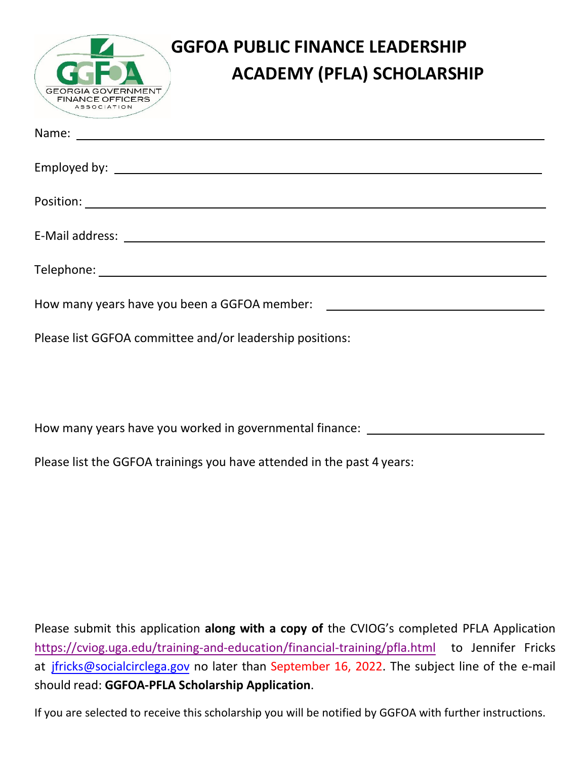| <b>GGFOA PUBLIC FINANCE LEADERSHIP</b><br><b>ACADEMY (PFLA) SCHOLARSHIP</b><br><b>GEORGIA GOVERNMENT</b><br><b>FINANCE OFFICERS</b><br><b>ASSOCIATION</b> |  |  |  |  |
|-----------------------------------------------------------------------------------------------------------------------------------------------------------|--|--|--|--|
|                                                                                                                                                           |  |  |  |  |
|                                                                                                                                                           |  |  |  |  |
|                                                                                                                                                           |  |  |  |  |
|                                                                                                                                                           |  |  |  |  |
|                                                                                                                                                           |  |  |  |  |
| How many years have you been a GGFOA member: ___________________________________                                                                          |  |  |  |  |
| Please list GGFOA committee and/or leadership positions:                                                                                                  |  |  |  |  |

How many years have you worked in governmental finance:

Please list the GGFOA trainings you have attended in the past 4 years:

Please submit this application **along with a copy of** the CVIOG's completed PFLA Application <https://cviog.uga.edu/training-and-education/financial-training/pfla.html> to Jennifer Fricks at [jfricks@socialcirclega.gov](mailto:jfricks@socialcirclega.gov) no later than September 16, 2022. The subject line of the e-mail should read: **GGFOA-PFLA Scholarship Application**.

If you are selected to receive this scholarship you will be notified by GGFOA with further instructions.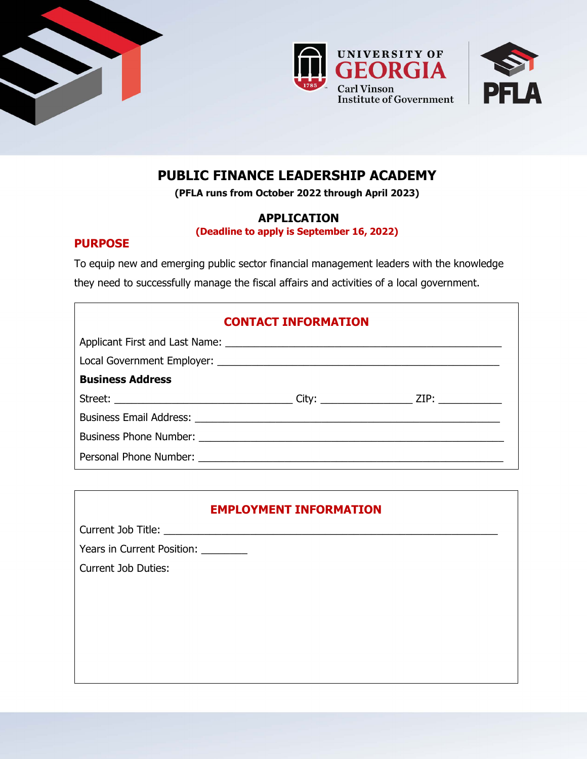





## **PUBLIC FINANCE LEADERSHIP ACADEMY**

**(PFLA runs from October 2022 through April 2023)**

### **APPLICATION**

**(Deadline to apply is September 16, 2022)**

### **PURPOSE**

To equip new and emerging public sector financial management leaders with the knowledge they need to successfully manage the fiscal affairs and activities of a local government.

| <b>CONTACT INFORMATION</b> |  |  |  |  |
|----------------------------|--|--|--|--|
|                            |  |  |  |  |
|                            |  |  |  |  |
| <b>Business Address</b>    |  |  |  |  |
|                            |  |  |  |  |
|                            |  |  |  |  |
|                            |  |  |  |  |
|                            |  |  |  |  |

## **EMPLOYMENT INFORMATION**

Current Job Title: \_\_\_\_\_\_\_\_\_\_\_\_\_\_\_\_\_\_\_\_\_\_\_\_\_\_\_\_\_\_\_\_\_\_\_\_\_\_\_\_\_\_\_\_\_\_\_\_\_\_\_\_\_\_\_\_\_\_

Years in Current Position:

Current Job Duties: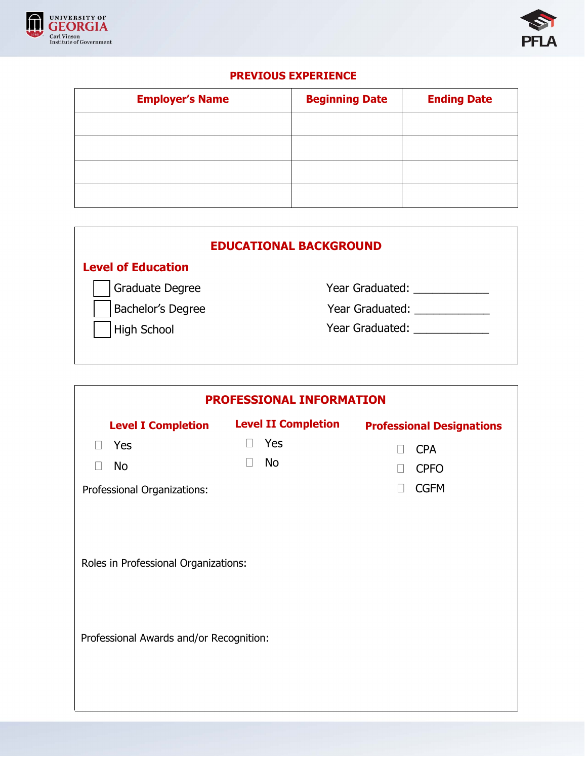



## **PREVIOUS EXPERIENCE**

| <b>Employer's Name</b> | <b>Beginning Date</b> | <b>Ending Date</b> |
|------------------------|-----------------------|--------------------|
|                        |                       |                    |
|                        |                       |                    |
|                        |                       |                    |
|                        |                       |                    |

| <b>EDUCATIONAL BACKGROUND</b> |                 |  |  |  |
|-------------------------------|-----------------|--|--|--|
| <b>Level of Education</b>     |                 |  |  |  |
| <b>Graduate Degree</b>        | Year Graduated: |  |  |  |
| Bachelor's Degree             | Year Graduated: |  |  |  |
| <b>High School</b>            | Year Graduated: |  |  |  |
|                               |                 |  |  |  |

| PROFESSIONAL INFORMATION                                                        |                            |                                  |  |  |
|---------------------------------------------------------------------------------|----------------------------|----------------------------------|--|--|
| <b>Level I Completion</b>                                                       | <b>Level II Completion</b> | <b>Professional Designations</b> |  |  |
| Yes<br>$\Box$                                                                   | Yes<br>$\Box$              | <b>CPA</b>                       |  |  |
| <b>No</b>                                                                       | <b>No</b>                  | <b>CPFO</b>                      |  |  |
| Professional Organizations:                                                     |                            | <b>CGFM</b><br>$\mathbf{L}$      |  |  |
| Roles in Professional Organizations:<br>Professional Awards and/or Recognition: |                            |                                  |  |  |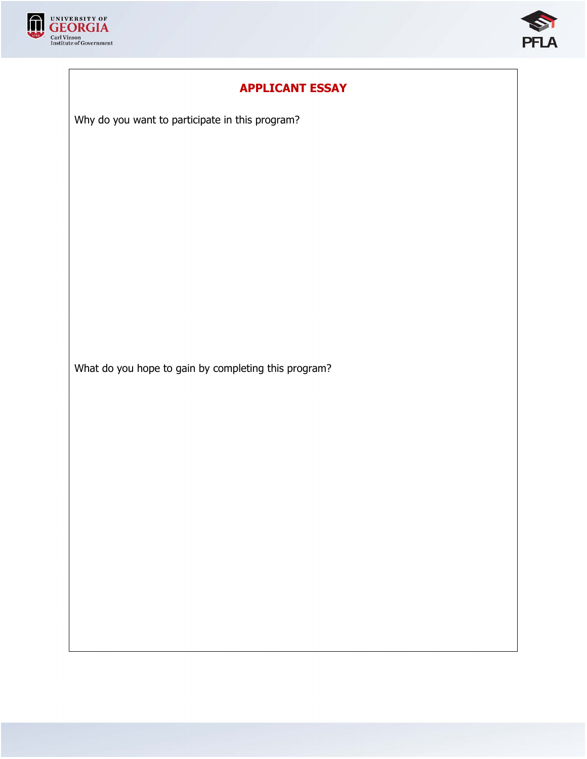



## **APPLICANT ESSAY**

Why do you want to participate in this program?

What do you hope to gain by completing this program?